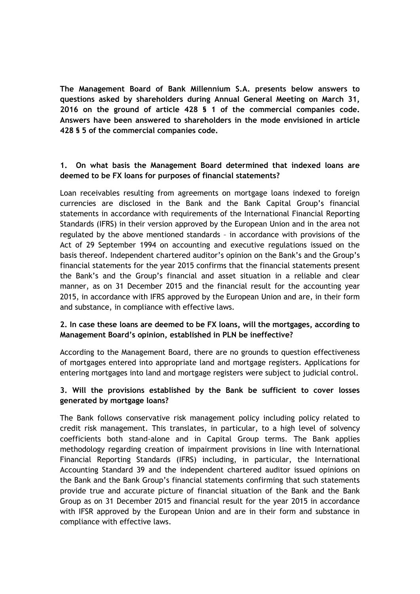**The Management Board of Bank Millennium S.A. presents below answers to questions asked by shareholders during Annual General Meeting on March 31, 2016 on the ground of article 428 § 1 of the commercial companies code. Answers have been answered to shareholders in the mode envisioned in article 428 § 5 of the commercial companies code.** 

## **1. On what basis the Management Board determined that indexed loans are deemed to be FX loans for purposes of financial statements?**

Loan receivables resulting from agreements on mortgage loans indexed to foreign currencies are disclosed in the Bank and the Bank Capital Group's financial statements in accordance with requirements of the International Financial Reporting Standards (IFRS) in their version approved by the European Union and in the area not regulated by the above mentioned standards – in accordance with provisions of the Act of 29 September 1994 on accounting and executive regulations issued on the basis thereof. Independent chartered auditor's opinion on the Bank's and the Group's financial statements for the year 2015 confirms that the financial statements present the Bank's and the Group's financial and asset situation in a reliable and clear manner, as on 31 December 2015 and the financial result for the accounting year 2015, in accordance with IFRS approved by the European Union and are, in their form and substance, in compliance with effective laws.

## **2. In case these loans are deemed to be FX loans, will the mortgages, according to Management Board's opinion, established in PLN be ineffective?**

According to the Management Board, there are no grounds to question effectiveness of mortgages entered into appropriate land and mortgage registers. Applications for entering mortgages into land and mortgage registers were subject to judicial control.

## **3. Will the provisions established by the Bank be sufficient to cover losses generated by mortgage loans?**

The Bank follows conservative risk management policy including policy related to credit risk management. This translates, in particular, to a high level of solvency coefficients both stand-alone and in Capital Group terms. The Bank applies methodology regarding creation of impairment provisions in line with International Financial Reporting Standards (IFRS) including, in particular, the International Accounting Standard 39 and the independent chartered auditor issued opinions on the Bank and the Bank Group's financial statements confirming that such statements provide true and accurate picture of financial situation of the Bank and the Bank Group as on 31 December 2015 and financial result for the year 2015 in accordance with IFSR approved by the European Union and are in their form and substance in compliance with effective laws.